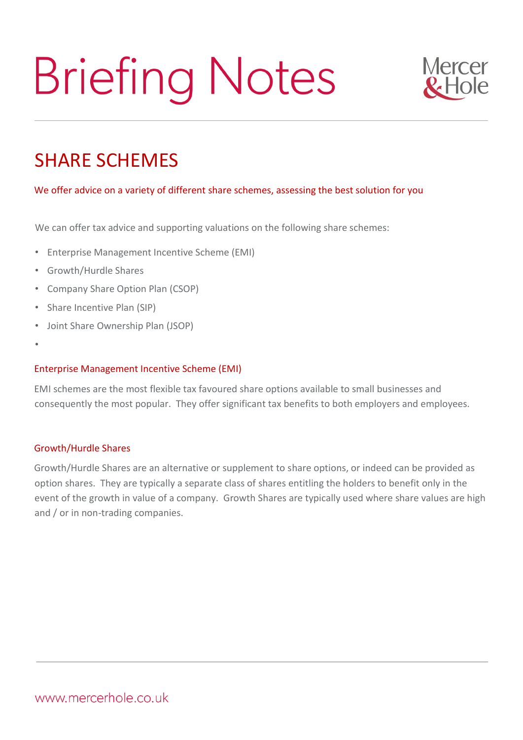# **Briefing Notes**



# SHARE SCHEMES

## We offer advice on a variety of different share schemes, assessing the best solution for you

We can offer tax advice and supporting valuations on the following share schemes:

- Enterprise Management Incentive Scheme (EMI)
- Growth/Hurdle Shares
- Company Share Option Plan (CSOP)
- Share Incentive Plan (SIP)
- Joint Share Ownership Plan (JSOP)
- •

#### Enterprise Management Incentive Scheme (EMI)

EMI schemes are the most flexible tax favoured share options available to small businesses and consequently the most popular. They offer significant tax benefits to both employers and employees.

#### Growth/Hurdle Shares

Growth/Hurdle Shares are an alternative or supplement to share options, or indeed can be provided as option shares. They are typically a separate class of shares entitling the holders to benefit only in the event of the growth in value of a company. Growth Shares are typically used where share values are high and / or in non-trading companies.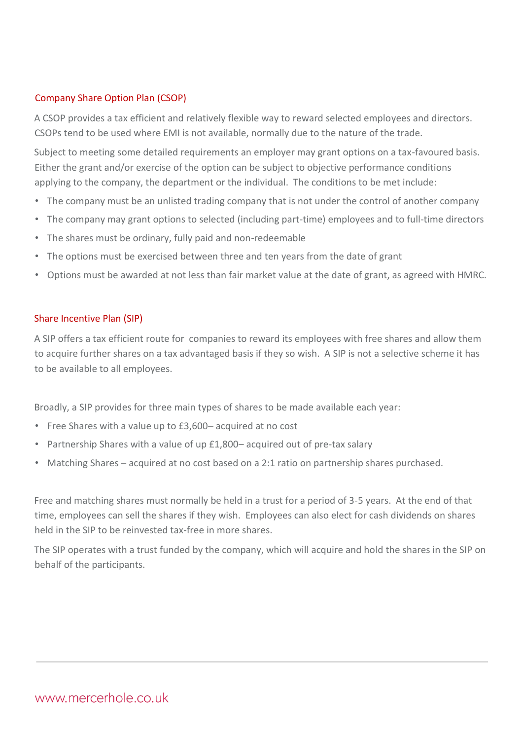### Company Share Option Plan (CSOP)

A CSOP provides a tax efficient and relatively flexible way to reward selected employees and directors. CSOPs tend to be used where EMI is not available, normally due to the nature of the trade.

Subject to meeting some detailed requirements an employer may grant options on a tax-favoured basis. Either the grant and/or exercise of the option can be subject to objective performance conditions applying to the company, the department or the individual. The conditions to be met include:

- The company must be an unlisted trading company that is not under the control of another company
- The company may grant options to selected (including part-time) employees and to full-time directors
- The shares must be ordinary, fully paid and non-redeemable
- The options must be exercised between three and ten years from the date of grant
- Options must be awarded at not less than fair market value at the date of grant, as agreed with HMRC.

#### Share Incentive Plan (SIP)

A SIP offers a tax efficient route for companies to reward its employees with free shares and allow them to acquire further shares on a tax advantaged basis if they so wish. A SIP is not a selective scheme it has to be available to all employees.

Broadly, a SIP provides for three main types of shares to be made available each year:

- Free Shares with a value up to £3,600– acquired at no cost
- Partnership Shares with a value of up £1,800– acquired out of pre-tax salary
- Matching Shares acquired at no cost based on a 2:1 ratio on partnership shares purchased.

Free and matching shares must normally be held in a trust for a period of 3-5 years. At the end of that time, employees can sell the shares if they wish. Employees can also elect for cash dividends on shares held in the SIP to be reinvested tax-free in more shares.

The SIP operates with a trust funded by the company, which will acquire and hold the shares in the SIP on behalf of the participants.